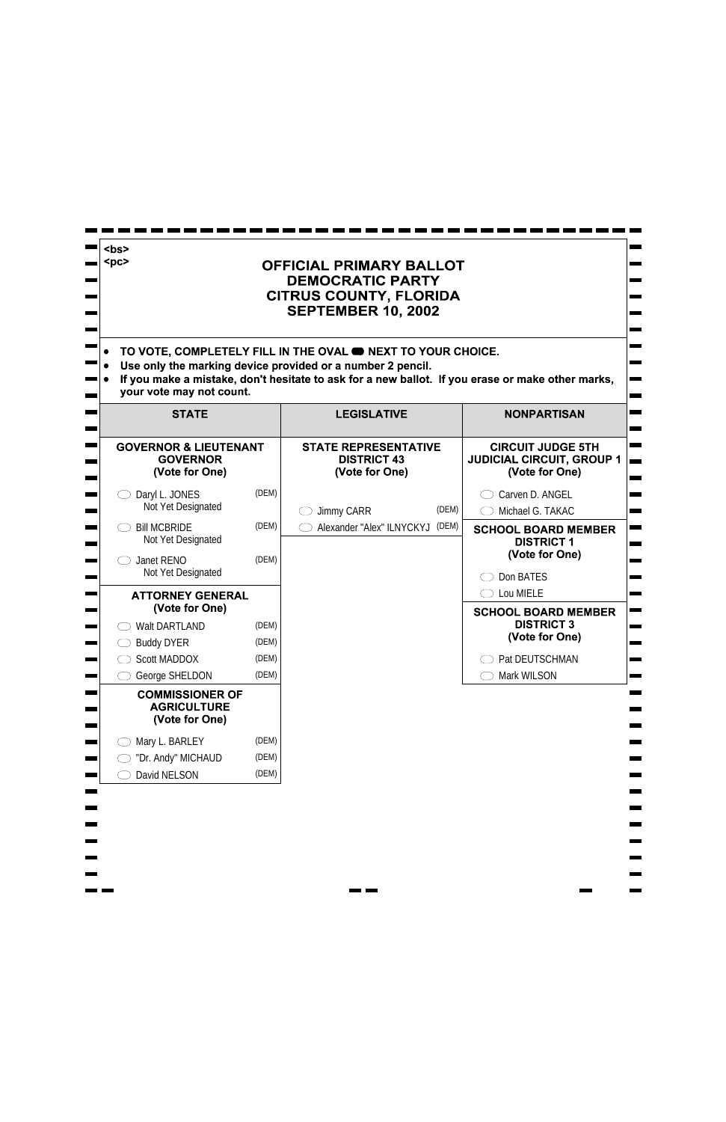| <bs><br/><math>&lt;</math>pc&gt;<br/><b>OFFICIAL PRIMARY BALLOT</b><br/><b>DEMOCRATIC PARTY</b><br/><b>CITRUS COUNTY, FLORIDA</b><br/><b>SEPTEMBER 10, 2002</b><br/>TO VOTE, COMPLETELY FILL IN THE OVAL <b>ONEXT TO YOUR CHOICE.</b><br/>Use only the marking device provided or a number 2 pencil.<br/>If you make a mistake, don't hesitate to ask for a new ballot. If you erase or make other marks,</bs> |       |                                                                     |       |                                                                                |
|----------------------------------------------------------------------------------------------------------------------------------------------------------------------------------------------------------------------------------------------------------------------------------------------------------------------------------------------------------------------------------------------------------------|-------|---------------------------------------------------------------------|-------|--------------------------------------------------------------------------------|
| your vote may not count.<br><b>STATE</b>                                                                                                                                                                                                                                                                                                                                                                       |       | <b>LEGISLATIVE</b>                                                  |       | <b>NONPARTISAN</b>                                                             |
| <b>GOVERNOR &amp; LIEUTENANT</b><br><b>GOVERNOR</b><br>(Vote for One)                                                                                                                                                                                                                                                                                                                                          |       | <b>STATE REPRESENTATIVE</b><br><b>DISTRICT 43</b><br>(Vote for One) |       | <b>CIRCUIT JUDGE 5TH</b><br><b>JUDICIAL CIRCUIT, GROUP 1</b><br>(Vote for One) |
| Daryl L. JONES<br>Not Yet Designated                                                                                                                                                                                                                                                                                                                                                                           | (DEM) | <b>Jimmy CARR</b>                                                   | (DEM) | Carven D. ANGEL<br>Michael G. TAKAC                                            |
| <b>Bill MCBRIDE</b><br>Not Yet Designated                                                                                                                                                                                                                                                                                                                                                                      | (DEM) | Alexander "Alex" ILNYCKYJ                                           | (DEM) | <b>SCHOOL BOARD MEMBER</b><br><b>DISTRICT 1</b>                                |
| Janet RENO<br>Not Yet Designated                                                                                                                                                                                                                                                                                                                                                                               | (DEM) |                                                                     |       | (Vote for One)<br>Don BATES                                                    |
| <b>ATTORNEY GENERAL</b><br>(Vote for One)                                                                                                                                                                                                                                                                                                                                                                      |       |                                                                     |       | Lou MIELE<br><b>SCHOOL BOARD MEMBER</b>                                        |
| <b>Walt DARTLAND</b>                                                                                                                                                                                                                                                                                                                                                                                           | (DEM) |                                                                     |       | <b>DISTRICT 3</b>                                                              |
| <b>Buddy DYER</b>                                                                                                                                                                                                                                                                                                                                                                                              | (DEM) |                                                                     |       | (Vote for One)                                                                 |
| <b>Scott MADDOX</b>                                                                                                                                                                                                                                                                                                                                                                                            | (DEM) |                                                                     |       | Pat DEUTSCHMAN                                                                 |
| George SHELDON                                                                                                                                                                                                                                                                                                                                                                                                 | (DEM) |                                                                     |       | Mark WILSON                                                                    |
| <b>COMMISSIONER OF</b><br><b>AGRICULTURE</b><br>(Vote for One)                                                                                                                                                                                                                                                                                                                                                 |       |                                                                     |       |                                                                                |
| Mary L. BARLEY                                                                                                                                                                                                                                                                                                                                                                                                 | (DEM) |                                                                     |       |                                                                                |
| "Dr. Andy" MICHAUD                                                                                                                                                                                                                                                                                                                                                                                             | (DEM) |                                                                     |       |                                                                                |
| David NELSON                                                                                                                                                                                                                                                                                                                                                                                                   | (DEM) |                                                                     |       |                                                                                |

٠  $\overline{\phantom{0}}$  $\overline{\phantom{a}}$  $\mathcal{L}_{\mathcal{A}}$  $\blacksquare$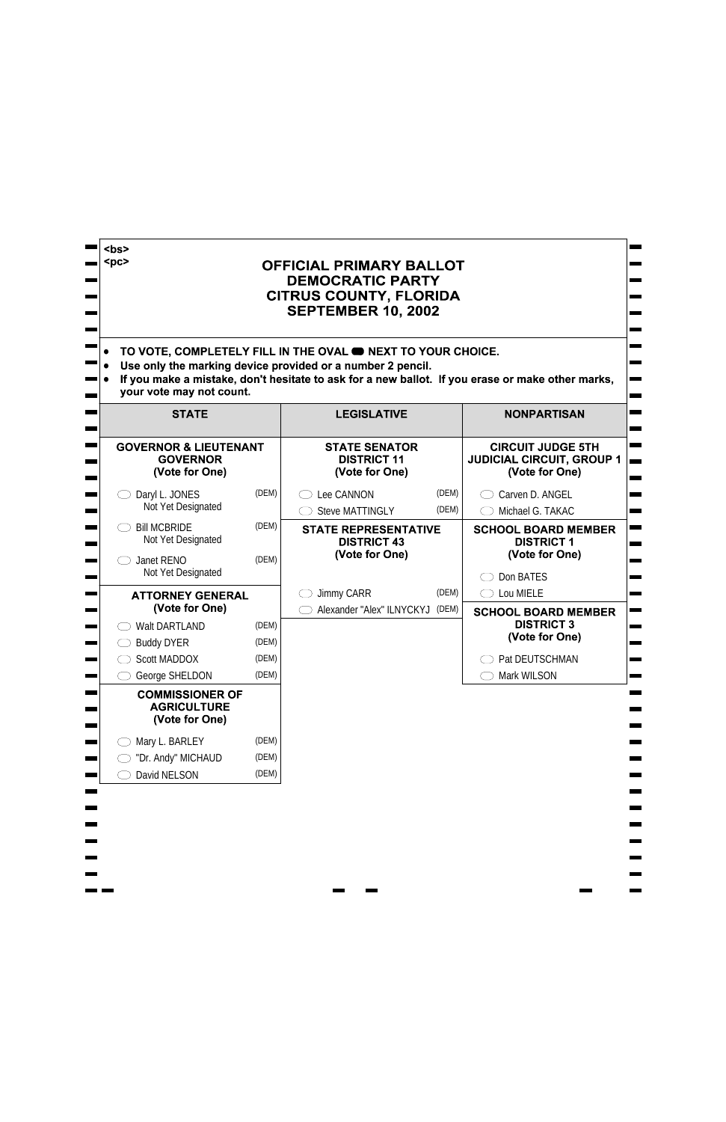| s><br>$<$ pc><br><b>OFFICIAL PRIMARY BALLOT</b><br><b>DEMOCRATIC PARTY</b><br><b>CITRUS COUNTY, FLORIDA</b><br><b>SEPTEMBER 10, 2002</b><br>TO VOTE, COMPLETELY FILL IN THE OVAL <b>ON NEXT TO YOUR CHOICE.</b><br>Use only the marking device provided or a number 2 pencil.<br>If you make a mistake, don't hesitate to ask for a new ballot. If you erase or make other marks,<br>your vote may not count. |                                  |                                                                     |       |                                                                                                    |
|---------------------------------------------------------------------------------------------------------------------------------------------------------------------------------------------------------------------------------------------------------------------------------------------------------------------------------------------------------------------------------------------------------------|----------------------------------|---------------------------------------------------------------------|-------|----------------------------------------------------------------------------------------------------|
| <b>STATE</b>                                                                                                                                                                                                                                                                                                                                                                                                  |                                  | <b>LEGISLATIVE</b>                                                  |       | <b>NONPARTISAN</b>                                                                                 |
| <b>GOVERNOR &amp; LIEUTENANT</b><br><b>GOVERNOR</b><br>(Vote for One)                                                                                                                                                                                                                                                                                                                                         |                                  | <b>STATE SENATOR</b><br><b>DISTRICT 11</b><br>(Vote for One)        |       | <b>CIRCUIT JUDGE 5TH</b><br><b>JUDICIAL CIRCUIT, GROUP 1</b><br>(Vote for One)                     |
| Daryl L. JONES                                                                                                                                                                                                                                                                                                                                                                                                | (DEM)                            | Lee CANNON                                                          | (DEM) | Carven D. ANGEL                                                                                    |
| Not Yet Designated                                                                                                                                                                                                                                                                                                                                                                                            |                                  | <b>Steve MATTINGLY</b>                                              | (DEM) | Michael G. TAKAC                                                                                   |
| <b>Bill MCBRIDE</b><br>Not Yet Designated<br>Janet RENO<br>Not Yet Designated                                                                                                                                                                                                                                                                                                                                 | (DEM)<br>(DEM)                   | <b>STATE REPRESENTATIVE</b><br><b>DISTRICT 43</b><br>(Vote for One) |       | <b>SCHOOL BOARD MEMBER</b><br><b>DISTRICT 1</b><br>(Vote for One)<br>Don BATES                     |
| <b>ATTORNEY GENERAL</b>                                                                                                                                                                                                                                                                                                                                                                                       |                                  | <b>Jimmy CARR</b>                                                   | (DEM) | Lou MIELE<br>$($ $)$                                                                               |
| (Vote for One)<br><b>Walt DARTLAND</b><br><b>Buddy DYER</b><br><b>Scott MADDOX</b><br>George SHELDON                                                                                                                                                                                                                                                                                                          | (DEM)<br>(DEM)<br>(DEM)<br>(DEM) | Alexander "Alex" ILNYCKYJ                                           | (DEM) | <b>SCHOOL BOARD MEMBER</b><br><b>DISTRICT 3</b><br>(Vote for One)<br>Pat DEUTSCHMAN<br>Mark WILSON |
| <b>COMMISSIONER OF</b><br><b>AGRICULTURE</b><br>(Vote for One)                                                                                                                                                                                                                                                                                                                                                |                                  |                                                                     |       |                                                                                                    |
| Mary L. BARLEY                                                                                                                                                                                                                                                                                                                                                                                                | (DEM)                            |                                                                     |       |                                                                                                    |
| "Dr. Andy" MICHAUD<br>David NELSON                                                                                                                                                                                                                                                                                                                                                                            | (DEM)                            |                                                                     |       |                                                                                                    |
|                                                                                                                                                                                                                                                                                                                                                                                                               | (DEM)                            |                                                                     |       |                                                                                                    |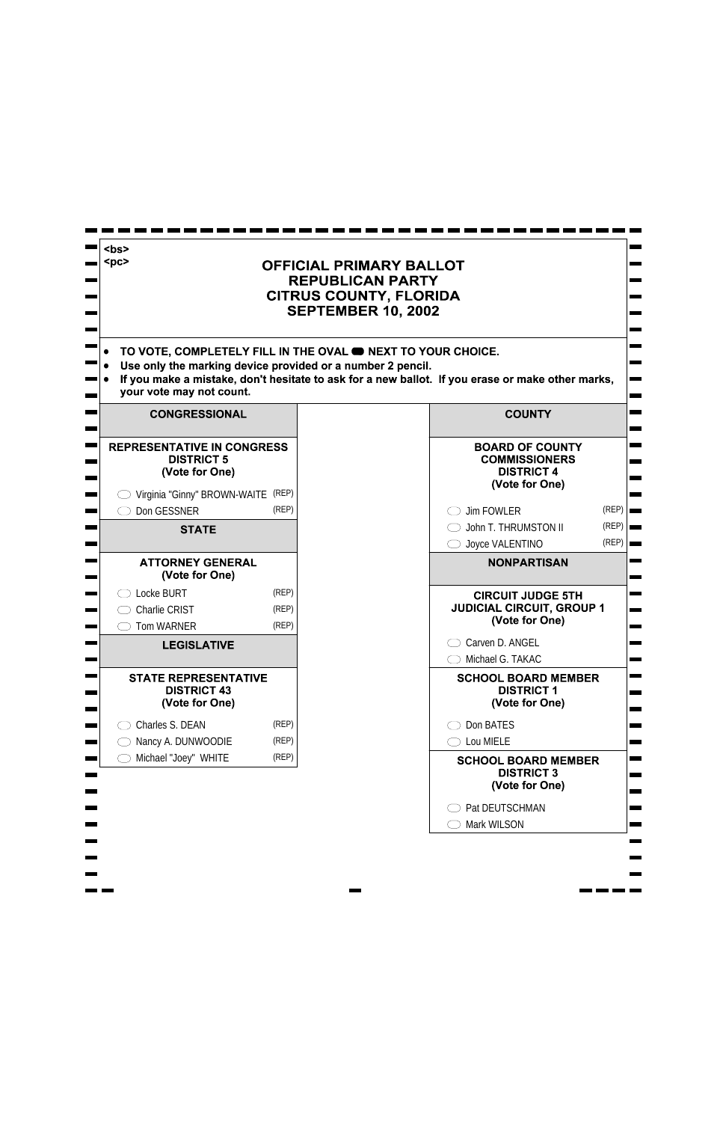| <bs><br/><math>&lt;</math>pc&gt;<br/>TO VOTE, COMPLETELY FILL IN THE OVAL <b>O NEXT TO YOUR CHOICE.</b><br/>Use only the marking device provided or a number 2 pencil.<br/>your vote may not count.</bs> |                         | <b>OFFICIAL PRIMARY BALLOT</b><br><b>REPUBLICAN PARTY</b><br><b>CITRUS COUNTY, FLORIDA</b><br><b>SEPTEMBER 10, 2002</b> | If you make a mistake, don't hesitate to ask for a new ballot. If you erase or make other marks, |                                          |
|----------------------------------------------------------------------------------------------------------------------------------------------------------------------------------------------------------|-------------------------|-------------------------------------------------------------------------------------------------------------------------|--------------------------------------------------------------------------------------------------|------------------------------------------|
| <b>CONGRESSIONAL</b>                                                                                                                                                                                     |                         |                                                                                                                         | <b>COUNTY</b>                                                                                    |                                          |
| <b>REPRESENTATIVE IN CONGRESS</b><br><b>DISTRICT 5</b><br>(Vote for One)<br>Virginia "Ginny" BROWN-WAITE (REP)                                                                                           |                         |                                                                                                                         | <b>BOARD OF COUNTY</b><br><b>COMMISSIONERS</b><br><b>DISTRICT 4</b><br>(Vote for One)            |                                          |
| Don GESSNER                                                                                                                                                                                              | (REP)                   |                                                                                                                         | <b>Jim FOWLER</b>                                                                                | $(REP)$ $\Box$                           |
| <b>STATE</b>                                                                                                                                                                                             |                         |                                                                                                                         | John T. THRUMSTON II<br>Joyce VALENTINO                                                          | $(REP)$ $\blacksquare$<br>$(REP)$ $\Box$ |
| <b>ATTORNEY GENERAL</b><br>(Vote for One)                                                                                                                                                                |                         |                                                                                                                         | <b>NONPARTISAN</b>                                                                               |                                          |
| Locke BURT<br><b>Charlie CRIST</b><br><b>Tom WARNER</b>                                                                                                                                                  | (REP)<br>(REP)<br>(REP) |                                                                                                                         | <b>CIRCUIT JUDGE 5TH</b><br><b>JUDICIAL CIRCUIT, GROUP 1</b><br>(Vote for One)                   |                                          |
| <b>LEGISLATIVE</b>                                                                                                                                                                                       |                         |                                                                                                                         | Carven D. ANGEL<br>Michael G. TAKAC                                                              |                                          |
| <b>STATE REPRESENTATIVE</b><br><b>DISTRICT 43</b><br>(Vote for One)                                                                                                                                      |                         |                                                                                                                         | <b>SCHOOL BOARD MEMBER</b><br><b>DISTRICT 1</b><br>(Vote for One)                                |                                          |
| Charles S. DEAN                                                                                                                                                                                          | (REP)                   |                                                                                                                         | Don BATES                                                                                        |                                          |
| Nancy A. DUNWOODIE                                                                                                                                                                                       | (REP)                   |                                                                                                                         | Lou MIELE                                                                                        |                                          |
| Michael "Joey" WHITE                                                                                                                                                                                     | (REP)                   |                                                                                                                         | <b>SCHOOL BOARD MEMBER</b><br><b>DISTRICT 3</b><br>(Vote for One)                                |                                          |
|                                                                                                                                                                                                          |                         |                                                                                                                         | Pat DEUTSCHMAN                                                                                   |                                          |
|                                                                                                                                                                                                          |                         |                                                                                                                         | <b>Mark WILSON</b>                                                                               |                                          |
|                                                                                                                                                                                                          |                         |                                                                                                                         |                                                                                                  |                                          |

 $\blacksquare$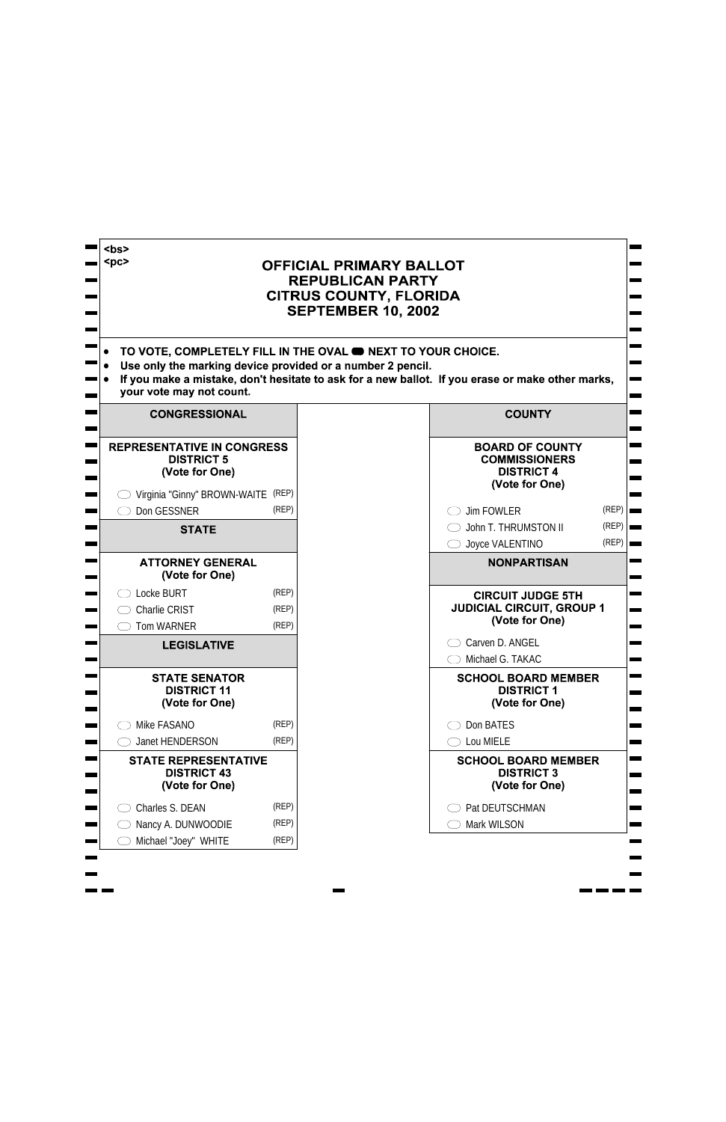| s><br>$<$ pc><br>Use only the marking device provided or a number 2 pencil.<br>your vote may not count. |                         | <b>OFFICIAL PRIMARY BALLOT</b><br><b>REPUBLICAN PARTY</b><br><b>CITRUS COUNTY, FLORIDA</b><br><b>SEPTEMBER 10, 2002</b><br>TO VOTE, COMPLETELY FILL IN THE OVAL <b>ON NEXT TO YOUR CHOICE.</b><br>If you make a mistake, don't hesitate to ask for a new ballot. If you erase or make other marks, |                |
|---------------------------------------------------------------------------------------------------------|-------------------------|----------------------------------------------------------------------------------------------------------------------------------------------------------------------------------------------------------------------------------------------------------------------------------------------------|----------------|
| <b>CONGRESSIONAL</b>                                                                                    |                         | <b>COUNTY</b>                                                                                                                                                                                                                                                                                      |                |
| <b>REPRESENTATIVE IN CONGRESS</b><br><b>DISTRICT 5</b><br>(Vote for One)                                |                         | <b>BOARD OF COUNTY</b><br><b>COMMISSIONERS</b><br><b>DISTRICT 4</b><br>(Vote for One)                                                                                                                                                                                                              |                |
| Virginia "Ginny" BROWN-WAITE (REP)<br>Don GESSNER                                                       | (REP)                   | <b>Jim FOWLER</b>                                                                                                                                                                                                                                                                                  | (REP)          |
| <b>STATE</b>                                                                                            |                         | John T. THRUMSTON II<br>Joyce VALENTINO                                                                                                                                                                                                                                                            | (REP)<br>(REP) |
| <b>ATTORNEY GENERAL</b><br>(Vote for One)                                                               |                         | <b>NONPARTISAN</b>                                                                                                                                                                                                                                                                                 |                |
| Locke BURT<br><b>Charlie CRIST</b><br><b>Tom WARNER</b>                                                 | (REP)<br>(REP)<br>(REP) | <b>CIRCUIT JUDGE 5TH</b><br><b>JUDICIAL CIRCUIT, GROUP 1</b><br>(Vote for One)                                                                                                                                                                                                                     |                |
| <b>LEGISLATIVE</b>                                                                                      |                         | Carven D. ANGEL<br>Michael G. TAKAC                                                                                                                                                                                                                                                                |                |
| <b>STATE SENATOR</b><br><b>DISTRICT 11</b><br>(Vote for One)                                            |                         | <b>SCHOOL BOARD MEMBER</b><br><b>DISTRICT 1</b><br>(Vote for One)                                                                                                                                                                                                                                  |                |
| Mike FASANO                                                                                             | (REP)                   | Don BATES                                                                                                                                                                                                                                                                                          |                |
| <b>Janet HENDERSON</b>                                                                                  | (REP)                   | Lou MIELE                                                                                                                                                                                                                                                                                          |                |
| <b>STATE REPRESENTATIVE</b><br><b>DISTRICT 43</b><br>(Vote for One)                                     |                         | <b>SCHOOL BOARD MEMBER</b><br><b>DISTRICT 3</b><br>(Vote for One)                                                                                                                                                                                                                                  |                |
| Charles S. DEAN                                                                                         | (REP)                   | Pat DEUTSCHMAN                                                                                                                                                                                                                                                                                     |                |
| Nancy A. DUNWOODIE                                                                                      | (REP)                   | Mark WILSON                                                                                                                                                                                                                                                                                        |                |
| Michael "Joey" WHITE                                                                                    | (REP)                   |                                                                                                                                                                                                                                                                                                    |                |